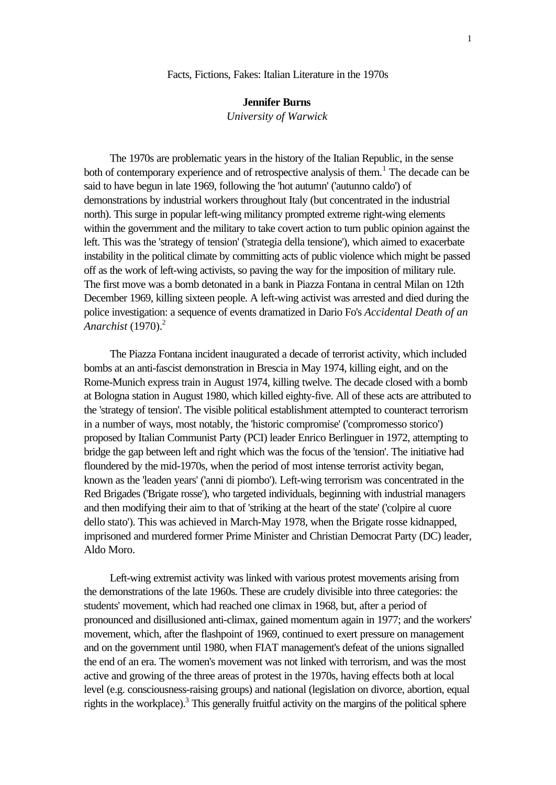## Facts, Fictions, Fakes: Italian Literature in the 1970s

## **Jennifer Burns**

*University of Warwick*

The 1970s are problematic years in the history of the Italian Republic, in the sense both of contemporary experience and of retrospective analysis of them.<sup>1</sup> The decade can be said to have begun in late 1969, following the 'hot autumn' ('autunno caldo') of demonstrations by industrial workers throughout Italy (but concentrated in the industrial north). This surge in popular left-wing militancy prompted extreme right-wing elements within the government and the military to take covert action to turn public opinion against the left. This was the 'strategy of tension' ('strategia della tensione'), which aimed to exacerbate instability in the political climate by committing acts of public violence which might be passed off as the work of left-wing activists, so paving the way for the imposition of military rule. The first move was a bomb detonated in a bank in Piazza Fontana in central Milan on 12th December 1969, killing sixteen people. A left-wing activist was arrested and died during the police investigation: a sequence of events dramatized in Dario Fo's *Accidental Death of an Anarchist* (1970).<sup>2</sup>

The Piazza Fontana incident inaugurated a decade of terrorist activity, which included bombs at an anti-fascist demonstration in Brescia in May 1974, killing eight, and on the Rome-Munich express train in August 1974, killing twelve. The decade closed with a bomb at Bologna station in August 1980, which killed eighty-five. All of these acts are attributed to the 'strategy of tension'. The visible political establishment attempted to counteract terrorism in a number of ways, most notably, the 'historic compromise' ('compromesso storico') proposed by Italian Communist Party (PCI) leader Enrico Berlinguer in 1972, attempting to bridge the gap between left and right which was the focus of the 'tension'. The initiative had floundered by the mid-1970s, when the period of most intense terrorist activity began, known as the 'leaden years' ('anni di piombo'). Left-wing terrorism was concentrated in the Red Brigades ('Brigate rosse'), who targeted individuals, beginning with industrial managers and then modifying their aim to that of 'striking at the heart of the state' ('colpire al cuore dello stato'). This was achieved in March-May 1978, when the Brigate rosse kidnapped, imprisoned and murdered former Prime Minister and Christian Democrat Party (DC) leader, Aldo Moro.

Left-wing extremist activity was linked with various protest movements arising from the demonstrations of the late 1960s. These are crudely divisible into three categories: the students' movement, which had reached one climax in 1968, but, after a period of pronounced and disillusioned anti-climax, gained momentum again in 1977; and the workers' movement, which, after the flashpoint of 1969, continued to exert pressure on management and on the government until 1980, when FIAT management's defeat of the unions signalled the end of an era. The women's movement was not linked with terrorism, and was the most active and growing of the three areas of protest in the 1970s, having effects both at local level (e.g. consciousness-raising groups) and national (legislation on divorce, abortion, equal rights in the workplace).<sup>3</sup> This generally fruitful activity on the margins of the political sphere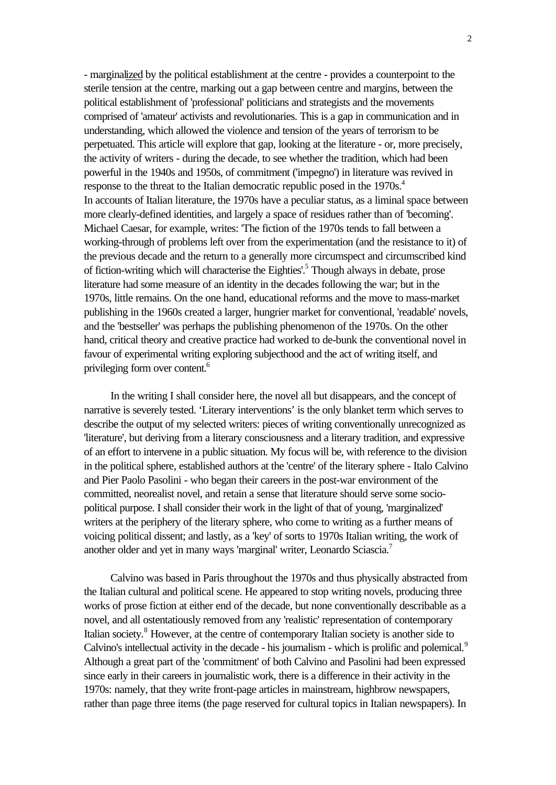- marginalized by the political establishment at the centre - provides a counterpoint to the sterile tension at the centre, marking out a gap between centre and margins, between the political establishment of 'professional' politicians and strategists and the movements comprised of 'amateur' activists and revolutionaries. This is a gap in communication and in understanding, which allowed the violence and tension of the years of terrorism to be perpetuated. This article will explore that gap, looking at the literature - or, more precisely, the activity of writers - during the decade, to see whether the tradition, which had been powerful in the 1940s and 1950s, of commitment ('impegno') in literature was revived in response to the threat to the Italian democratic republic posed in the 1970s.<sup>4</sup> In accounts of Italian literature, the 1970s have a peculiar status, as a liminal space between more clearly-defined identities, and largely a space of residues rather than of 'becoming'. Michael Caesar, for example, writes: 'The fiction of the 1970s tends to fall between a working-through of problems left over from the experimentation (and the resistance to it) of the previous decade and the return to a generally more circumspect and circumscribed kind of fiction-writing which will characterise the Eighties'.<sup>5</sup> Though always in debate, prose literature had some measure of an identity in the decades following the war; but in the 1970s, little remains. On the one hand, educational reforms and the move to mass-market publishing in the 1960s created a larger, hungrier market for conventional, 'readable' novels, and the 'bestseller' was perhaps the publishing phenomenon of the 1970s. On the other hand, critical theory and creative practice had worked to de-bunk the conventional novel in favour of experimental writing exploring subjecthood and the act of writing itself, and privileging form over content.<sup>6</sup>

In the writing I shall consider here, the novel all but disappears, and the concept of narrative is severely tested. 'Literary interventions' is the only blanket term which serves to describe the output of my selected writers: pieces of writing conventionally unrecognized as 'literature', but deriving from a literary consciousness and a literary tradition, and expressive of an effort to intervene in a public situation. My focus will be, with reference to the division in the political sphere, established authors at the 'centre' of the literary sphere - Italo Calvino and Pier Paolo Pasolini - who began their careers in the post-war environment of the committed, neorealist novel, and retain a sense that literature should serve some sociopolitical purpose. I shall consider their work in the light of that of young, 'marginalized' writers at the periphery of the literary sphere, who come to writing as a further means of voicing political dissent; and lastly, as a 'key' of sorts to 1970s Italian writing, the work of another older and yet in many ways 'marginal' writer, Leonardo Sciascia.<sup>7</sup>

Calvino was based in Paris throughout the 1970s and thus physically abstracted from the Italian cultural and political scene. He appeared to stop writing novels, producing three works of prose fiction at either end of the decade, but none conventionally describable as a novel, and all ostentatiously removed from any 'realistic' representation of contemporary Italian society.<sup>8</sup> However, at the centre of contemporary Italian society is another side to Calvino's intellectual activity in the decade - his journalism - which is prolific and polemical.<sup>9</sup> Although a great part of the 'commitment' of both Calvino and Pasolini had been expressed since early in their careers in journalistic work, there is a difference in their activity in the 1970s: namely, that they write front-page articles in mainstream, highbrow newspapers, rather than page three items (the page reserved for cultural topics in Italian newspapers). In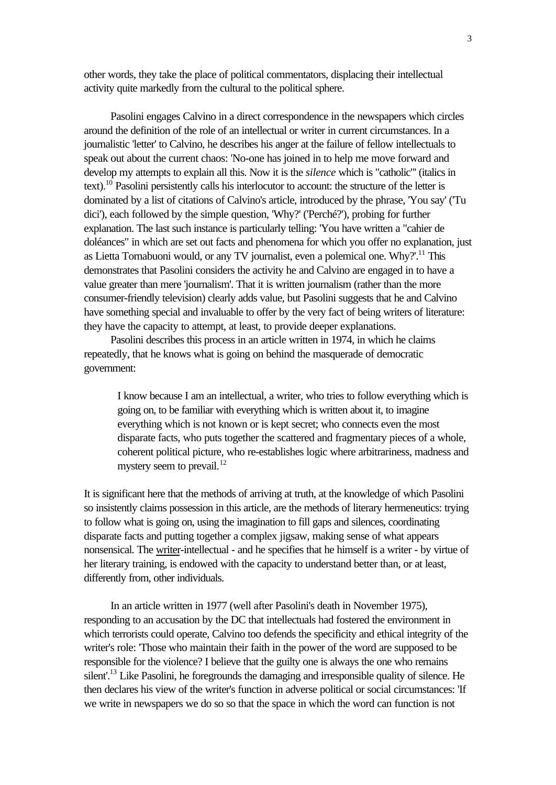other words, they take the place of political commentators, displacing their intellectual activity quite markedly from the cultural to the political sphere.

Pasolini engages Calvino in a direct correspondence in the newspapers which circles around the definition of the role of an intellectual or writer in current circumstances. In a journalistic 'letter' to Calvino, he describes his anger at the failure of fellow intellectuals to speak out about the current chaos: 'No-one has joined in to help me move forward and develop my attempts to explain all this. Now it is the *silence* which is "catholic"' (italics in text).<sup>10</sup> Pasolini persistently calls his interlocutor to account: the structure of the letter is dominated by a list of citations of Calvino's article, introduced by the phrase, 'You say' ('Tu dici'), each followed by the simple question, 'Why?' ('Perché?'), probing for further explanation. The last such instance is particularly telling: 'You have written a "cahier de doléances" in which are set out facts and phenomena for which you offer no explanation, just as Lietta Tornabuoni would, or any TV journalist, even a polemical one. Why?'.<sup>11</sup> This demonstrates that Pasolini considers the activity he and Calvino are engaged in to have a value greater than mere 'journalism'. That it is written journalism (rather than the more consumer-friendly television) clearly adds value, but Pasolini suggests that he and Calvino have something special and invaluable to offer by the very fact of being writers of literature: they have the capacity to attempt, at least, to provide deeper explanations.

Pasolini describes this process in an article written in 1974, in which he claims repeatedly, that he knows what is going on behind the masquerade of democratic government:

I know because I am an intellectual, a writer, who tries to follow everything which is going on, to be familiar with everything which is written about it, to imagine everything which is not known or is kept secret; who connects even the most disparate facts, who puts together the scattered and fragmentary pieces of a whole, coherent political picture, who re-establishes logic where arbitrariness, madness and mystery seem to prevail.<sup>12</sup>

It is significant here that the methods of arriving at truth, at the knowledge of which Pasolini so insistently claims possession in this article, are the methods of literary hermeneutics: trying to follow what is going on, using the imagination to fill gaps and silences, coordinating disparate facts and putting together a complex jigsaw, making sense of what appears nonsensical. The writer-intellectual - and he specifies that he himself is a writer - by virtue of her literary training, is endowed with the capacity to understand better than, or at least, differently from, other individuals.

In an article written in 1977 (well after Pasolini's death in November 1975), responding to an accusation by the DC that intellectuals had fostered the environment in which terrorists could operate, Calvino too defends the specificity and ethical integrity of the writer's role: 'Those who maintain their faith in the power of the word are supposed to be responsible for the violence? I believe that the guilty one is always the one who remains silent'.<sup>13</sup> Like Pasolini, he foregrounds the damaging and irresponsible quality of silence. He then declares his view of the writer's function in adverse political or social circumstances: 'If we write in newspapers we do so so that the space in which the word can function is not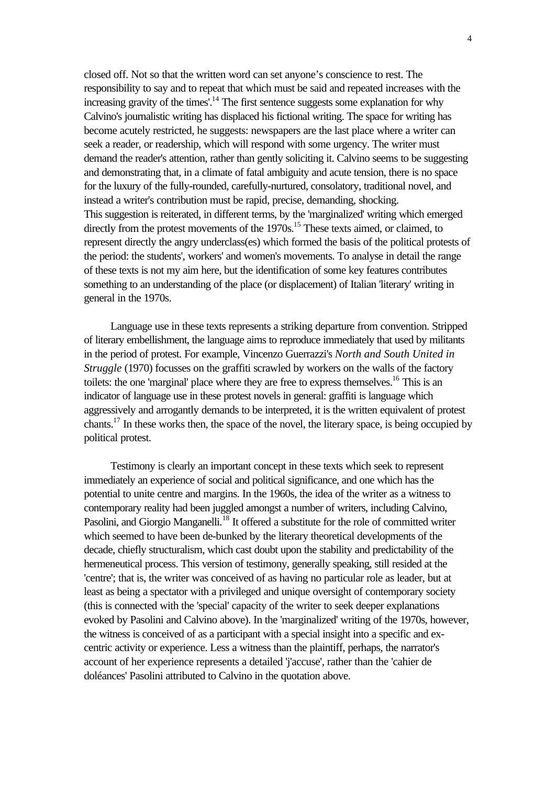closed off. Not so that the written word can set anyone's conscience to rest. The responsibility to say and to repeat that which must be said and repeated increases with the increasing gravity of the times'.<sup>14</sup> The first sentence suggests some explanation for why Calvino's journalistic writing has displaced his fictional writing. The space for writing has become acutely restricted, he suggests: newspapers are the last place where a writer can seek a reader, or readership, which will respond with some urgency. The writer must demand the reader's attention, rather than gently soliciting it. Calvino seems to be suggesting and demonstrating that, in a climate of fatal ambiguity and acute tension, there is no space for the luxury of the fully-rounded, carefully-nurtured, consolatory, traditional novel, and instead a writer's contribution must be rapid, precise, demanding, shocking. This suggestion is reiterated, in different terms, by the 'marginalized' writing which emerged directly from the protest movements of the  $1970s$ <sup> $15$ </sup> These texts aimed, or claimed, to represent directly the angry underclass(es) which formed the basis of the political protests of the period: the students', workers' and women's movements. To analyse in detail the range of these texts is not my aim here, but the identification of some key features contributes something to an understanding of the place (or displacement) of Italian 'literary' writing in general in the 1970s.

Language use in these texts represents a striking departure from convention. Stripped of literary embellishment, the language aims to reproduce immediately that used by militants in the period of protest. For example, Vincenzo Guerrazzi's *North and South United in Struggle* (1970) focusses on the graffiti scrawled by workers on the walls of the factory toilets: the one 'marginal' place where they are free to express themselves.<sup>16</sup> This is an indicator of language use in these protest novels in general: graffiti is language which aggressively and arrogantly demands to be interpreted, it is the written equivalent of protest chants.<sup>17</sup> In these works then, the space of the novel, the literary space, is being occupied by political protest.

Testimony is clearly an important concept in these texts which seek to represent immediately an experience of social and political significance, and one which has the potential to unite centre and margins. In the 1960s, the idea of the writer as a witness to contemporary reality had been juggled amongst a number of writers, including Calvino, Pasolini, and Giorgio Manganelli.<sup>18</sup> It offered a substitute for the role of committed writer which seemed to have been de-bunked by the literary theoretical developments of the decade, chiefly structuralism, which cast doubt upon the stability and predictability of the hermeneutical process. This version of testimony, generally speaking, still resided at the 'centre'; that is, the writer was conceived of as having no particular role as leader, but at least as being a spectator with a privileged and unique oversight of contemporary society (this is connected with the 'special' capacity of the writer to seek deeper explanations evoked by Pasolini and Calvino above). In the 'marginalized' writing of the 1970s, however, the witness is conceived of as a participant with a special insight into a specific and excentric activity or experience. Less a witness than the plaintiff, perhaps, the narrator's account of her experience represents a detailed 'j'accuse', rather than the 'cahier de doléances' Pasolini attributed to Calvino in the quotation above.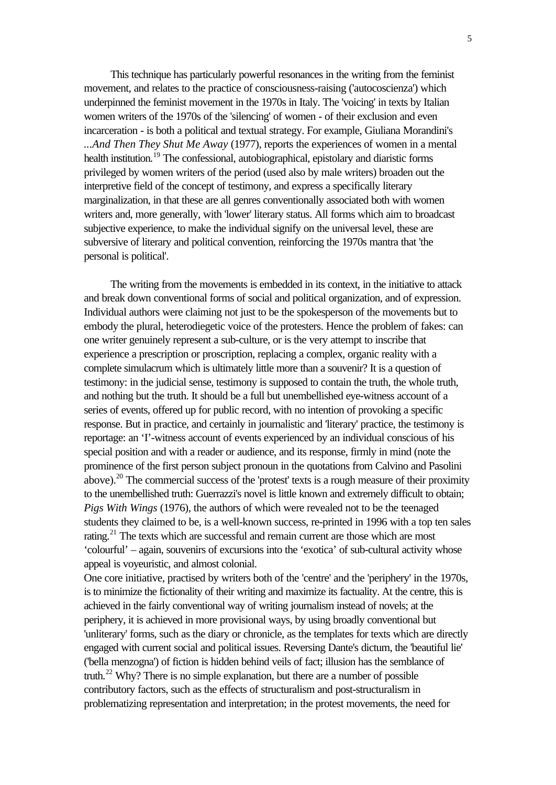This technique has particularly powerful resonances in the writing from the feminist movement, and relates to the practice of consciousness-raising ('autocoscienza') which underpinned the feminist movement in the 1970s in Italy. The 'voicing' in texts by Italian women writers of the 1970s of the 'silencing' of women - of their exclusion and even incarceration - is both a political and textual strategy. For example, Giuliana Morandini's *...And Then They Shut Me Away* (1977), reports the experiences of women in a mental health institution.<sup>19</sup> The confessional, autobiographical, epistolary and diaristic forms privileged by women writers of the period (used also by male writers) broaden out the interpretive field of the concept of testimony, and express a specifically literary marginalization, in that these are all genres conventionally associated both with women writers and, more generally, with 'lower' literary status. All forms which aim to broadcast subjective experience, to make the individual signify on the universal level, these are subversive of literary and political convention, reinforcing the 1970s mantra that 'the personal is political'.

The writing from the movements is embedded in its context, in the initiative to attack and break down conventional forms of social and political organization, and of expression. Individual authors were claiming not just to be the spokesperson of the movements but to embody the plural, heterodiegetic voice of the protesters. Hence the problem of fakes: can one writer genuinely represent a sub-culture, or is the very attempt to inscribe that experience a prescription or proscription, replacing a complex, organic reality with a complete simulacrum which is ultimately little more than a souvenir? It is a question of testimony: in the judicial sense, testimony is supposed to contain the truth, the whole truth, and nothing but the truth. It should be a full but unembellished eye-witness account of a series of events, offered up for public record, with no intention of provoking a specific response. But in practice, and certainly in journalistic and 'literary' practice, the testimony is reportage: an 'I'-witness account of events experienced by an individual conscious of his special position and with a reader or audience, and its response, firmly in mind (note the prominence of the first person subject pronoun in the quotations from Calvino and Pasolini above).<sup>20</sup> The commercial success of the 'protest' texts is a rough measure of their proximity to the unembellished truth: Guerrazzi's novel is little known and extremely difficult to obtain; *Pigs With Wings* (1976), the authors of which were revealed not to be the teenaged students they claimed to be, is a well-known success, re-printed in 1996 with a top ten sales rating.<sup>21</sup> The texts which are successful and remain current are those which are most 'colourful' – again, souvenirs of excursions into the 'exotica' of sub-cultural activity whose appeal is voyeuristic, and almost colonial.

One core initiative, practised by writers both of the 'centre' and the 'periphery' in the 1970s, is to minimize the fictionality of their writing and maximize its factuality. At the centre, this is achieved in the fairly conventional way of writing journalism instead of novels; at the periphery, it is achieved in more provisional ways, by using broadly conventional but 'unliterary' forms, such as the diary or chronicle, as the templates for texts which are directly engaged with current social and political issues. Reversing Dante's dictum, the 'beautiful lie' ('bella menzogna') of fiction is hidden behind veils of fact; illusion has the semblance of truth.<sup>22</sup> Why? There is no simple explanation, but there are a number of possible contributory factors, such as the effects of structuralism and post-structuralism in problematizing representation and interpretation; in the protest movements, the need for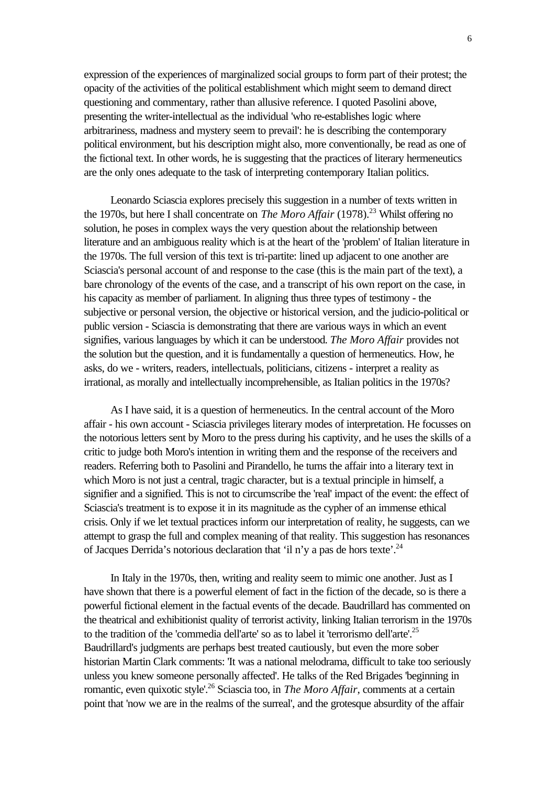expression of the experiences of marginalized social groups to form part of their protest; the opacity of the activities of the political establishment which might seem to demand direct questioning and commentary, rather than allusive reference. I quoted Pasolini above, presenting the writer-intellectual as the individual 'who re-establishes logic where arbitrariness, madness and mystery seem to prevail': he is describing the contemporary political environment, but his description might also, more conventionally, be read as one of the fictional text. In other words, he is suggesting that the practices of literary hermeneutics are the only ones adequate to the task of interpreting contemporary Italian politics.

Leonardo Sciascia explores precisely this suggestion in a number of texts written in the 1970s, but here I shall concentrate on *The Moro Affair* (1978).<sup>23</sup> Whilst offering no solution, he poses in complex ways the very question about the relationship between literature and an ambiguous reality which is at the heart of the 'problem' of Italian literature in the 1970s. The full version of this text is tri-partite: lined up adjacent to one another are Sciascia's personal account of and response to the case (this is the main part of the text), a bare chronology of the events of the case, and a transcript of his own report on the case, in his capacity as member of parliament. In aligning thus three types of testimony - the subjective or personal version, the objective or historical version, and the judicio-political or public version - Sciascia is demonstrating that there are various ways in which an event signifies, various languages by which it can be understood. *The Moro Affair* provides not the solution but the question, and it is fundamentally a question of hermeneutics. How, he asks, do we - writers, readers, intellectuals, politicians, citizens - interpret a reality as irrational, as morally and intellectually incomprehensible, as Italian politics in the 1970s?

As I have said, it is a question of hermeneutics. In the central account of the Moro affair - his own account - Sciascia privileges literary modes of interpretation. He focusses on the notorious letters sent by Moro to the press during his captivity, and he uses the skills of a critic to judge both Moro's intention in writing them and the response of the receivers and readers. Referring both to Pasolini and Pirandello, he turns the affair into a literary text in which Moro is not just a central, tragic character, but is a textual principle in himself, a signifier and a signified. This is not to circumscribe the 'real' impact of the event: the effect of Sciascia's treatment is to expose it in its magnitude as the cypher of an immense ethical crisis. Only if we let textual practices inform our interpretation of reality, he suggests, can we attempt to grasp the full and complex meaning of that reality. This suggestion has resonances of Jacques Derrida's notorious declaration that 'il n'y a pas de hors texte'.<sup>24</sup>

In Italy in the 1970s, then, writing and reality seem to mimic one another. Just as I have shown that there is a powerful element of fact in the fiction of the decade, so is there a powerful fictional element in the factual events of the decade. Baudrillard has commented on the theatrical and exhibitionist quality of terrorist activity, linking Italian terrorism in the 1970s to the tradition of the 'commedia dell'arte' so as to label it 'terrorismo dell'arte'.<sup>25</sup> Baudrillard's judgments are perhaps best treated cautiously, but even the more sober historian Martin Clark comments: 'It was a national melodrama, difficult to take too seriously unless you knew someone personally affected'. He talks of the Red Brigades 'beginning in romantic, even quixotic style'.<sup>26</sup> Sciascia too, in *The Moro Affair*, comments at a certain point that 'now we are in the realms of the surreal', and the grotesque absurdity of the affair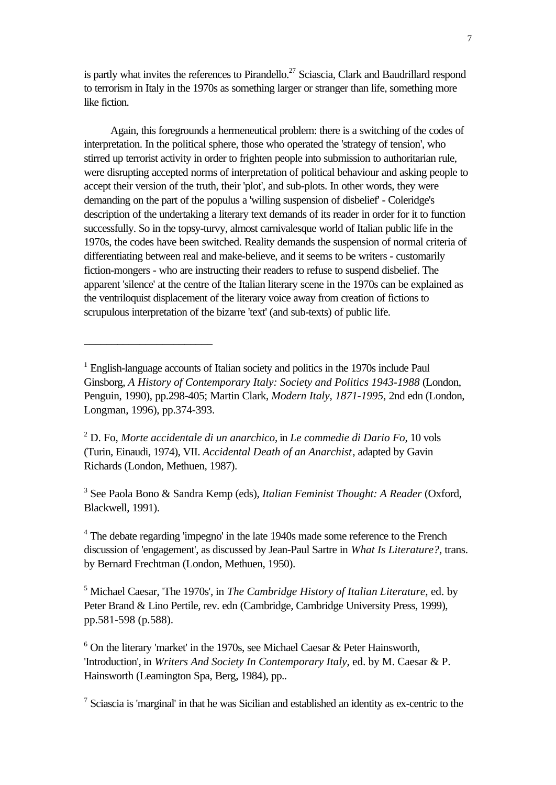is partly what invites the references to Pirandello.<sup>27</sup> Sciascia, Clark and Baudrillard respond to terrorism in Italy in the 1970s as something larger or stranger than life, something more like fiction.

Again, this foregrounds a hermeneutical problem: there is a switching of the codes of interpretation. In the political sphere, those who operated the 'strategy of tension', who stirred up terrorist activity in order to frighten people into submission to authoritarian rule, were disrupting accepted norms of interpretation of political behaviour and asking people to accept their version of the truth, their 'plot', and sub-plots. In other words, they were demanding on the part of the populus a 'willing suspension of disbelief' - Coleridge's description of the undertaking a literary text demands of its reader in order for it to function successfully. So in the topsy-turvy, almost carnivalesque world of Italian public life in the 1970s, the codes have been switched. Reality demands the suspension of normal criteria of differentiating between real and make-believe, and it seems to be writers - customarily fiction-mongers - who are instructing their readers to refuse to suspend disbelief. The apparent 'silence' at the centre of the Italian literary scene in the 1970s can be explained as the ventriloquist displacement of the literary voice away from creation of fictions to scrupulous interpretation of the bizarre 'text' (and sub-texts) of public life.

\_\_\_\_\_\_\_\_\_\_\_\_\_\_\_\_\_\_\_\_\_\_\_

3 See Paola Bono & Sandra Kemp (eds), *Italian Feminist Thought: A Reader* (Oxford, Blackwell, 1991).

<sup>4</sup> The debate regarding 'impegno' in the late 1940s made some reference to the French discussion of 'engagement', as discussed by Jean-Paul Sartre in *What Is Literature?*, trans. by Bernard Frechtman (London, Methuen, 1950).

5 Michael Caesar, 'The 1970s', in *The Cambridge History of Italian Literature*, ed. by Peter Brand & Lino Pertile, rev. edn (Cambridge, Cambridge University Press, 1999), pp.581-598 (p.588).

 $6$  On the literary 'market' in the 1970s, see Michael Caesar & Peter Hainsworth, 'Introduction', in *Writers And Society In Contemporary Italy*, ed. by M. Caesar & P. Hainsworth (Leamington Spa, Berg, 1984), pp..

 $<sup>7</sup>$  Sciascia is 'marginal' in that he was Sicilian and established an identity as ex-centric to the</sup>

<sup>&</sup>lt;sup>1</sup> English-language accounts of Italian society and politics in the 1970s include Paul Ginsborg, *A History of Contemporary Italy: Society and Politics 1943-1988* (London, Penguin, 1990), pp.298-405; Martin Clark, *Modern Italy, 1871-1995*, 2nd edn (London, Longman, 1996), pp.374-393.

<sup>2</sup> D. Fo, *Morte accidentale di un anarchico*, in *Le commedie di Dario Fo*, 10 vols (Turin, Einaudi, 1974), VII. *Accidental Death of an Anarchist*, adapted by Gavin Richards (London, Methuen, 1987).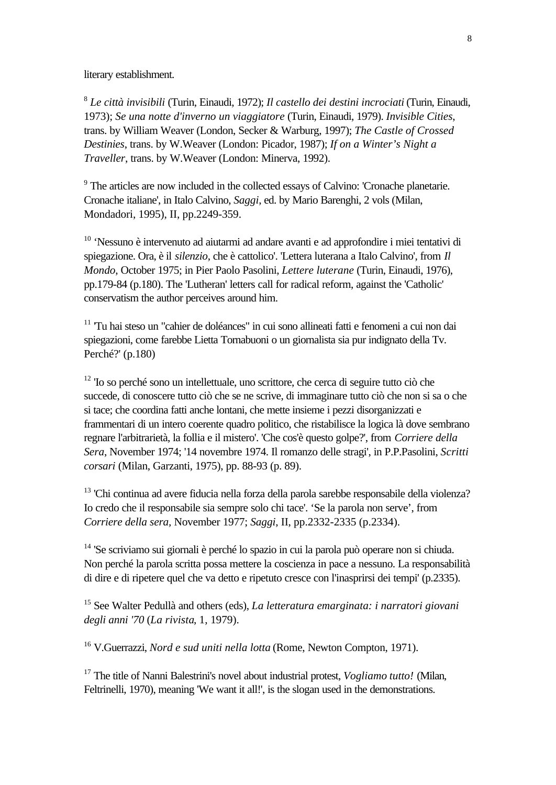literary establishment.

8 *Le città invisibili* (Turin, Einaudi, 1972); *Il castello dei destini incrociati* (Turin, Einaudi, 1973); *Se una notte d'inverno un viaggiatore* (Turin, Einaudi, 1979). *Invisible Cities*, trans. by William Weaver (London, Secker & Warburg, 1997); *The Castle of Crossed Destinies*, trans. by W.Weaver (London: Picador, 1987); *If on a Winter's Night a Traveller*, trans. by W.Weaver (London: Minerva, 1992).

<sup>9</sup> The articles are now included in the collected essays of Calvino: 'Cronache planetarie. Cronache italiane', in Italo Calvino, *Saggi*, ed. by Mario Barenghi, 2 vols (Milan, Mondadori, 1995), II, pp.2249-359.

 $10$  'Nessuno è intervenuto ad aiutarmi ad andare avanti e ad approfondire i miei tentativi di spiegazione. Ora, è il *silenzio*, che è cattolico'. 'Lettera luterana a Italo Calvino', from *Il Mondo*, October 1975; in Pier Paolo Pasolini, *Lettere luterane* (Turin, Einaudi, 1976), pp.179-84 (p.180). The 'Lutheran' letters call for radical reform, against the 'Catholic' conservatism the author perceives around him.

<sup>11</sup> Tu hai steso un "cahier de doléances" in cui sono allineati fatti e fenomeni a cui non dai spiegazioni, come farebbe Lietta Tornabuoni o un giornalista sia pur indignato della Tv. Perché?' (p.180)

<sup>12</sup> 'Io so perché sono un intellettuale, uno scrittore, che cerca di seguire tutto ciò che succede, di conoscere tutto ciò che se ne scrive, di immaginare tutto ciò che non si sa o che si tace; che coordina fatti anche lontani, che mette insieme i pezzi disorganizzati e frammentari di un intero coerente quadro politico, che ristabilisce la logica là dove sembrano regnare l'arbitrarietà, la follia e il mistero'. 'Che cos'è questo golpe?', from *Corriere della Sera*, November 1974; '14 novembre 1974. Il romanzo delle stragi', in P.P.Pasolini, *Scritti corsari* (Milan, Garzanti, 1975), pp. 88-93 (p. 89).

<sup>13</sup> 'Chi continua ad avere fiducia nella forza della parola sarebbe responsabile della violenza? Io credo che il responsabile sia sempre solo chi tace'. 'Se la parola non serve', from *Corriere della sera,* November 1977; *Saggi*, II, pp.2332-2335 (p.2334).

<sup>14</sup> 'Se scriviamo sui giornali è perché lo spazio in cui la parola può operare non si chiuda. Non perché la parola scritta possa mettere la coscienza in pace a nessuno. La responsabilità di dire e di ripetere quel che va detto e ripetuto cresce con l'inasprirsi dei tempi' (p.2335).

<sup>15</sup> See Walter Pedullà and others (eds), *La letteratura emarginata: i narratori giovani degli anni '70* (*La rivista*, 1, 1979).

<sup>16</sup> V.Guerrazzi, *Nord e sud uniti nella lotta* (Rome, Newton Compton, 1971).

<sup>17</sup> The title of Nanni Balestrini's novel about industrial protest, *Vogliamo tutto!* (Milan, Feltrinelli, 1970), meaning 'We want it all!', is the slogan used in the demonstrations.